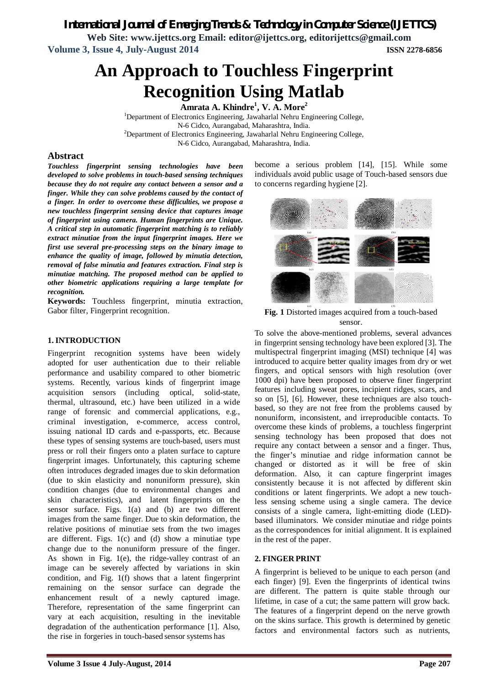*International Journal of Emerging Trends & Technology in Computer Science (IJETTCS)*

**Web Site: www.ijettcs.org Email: editor@ijettcs.org, editorijettcs@gmail.com Volume 3, Issue 4, July-August 2014 ISSN 2278-6856**

# **An Approach to Touchless Fingerprint Recognition Using Matlab**

**Amrata A. Khindre<sup>1</sup> , V. A. More<sup>2</sup>**

<sup>1</sup>Department of Electronics Engineering, Jawaharlal Nehru Engineering College, N-6 Cidco, Aurangabad, Maharashtra, India.  $2$ Department of Electronics Engineering, Jawaharlal Nehru Engineering College, N-6 Cidco, Aurangabad, Maharashtra, India.

### **Abstract**

*Touchless fingerprint sensing technologies have been developed to solve problems in touch-based sensing techniques because they do not require any contact between a sensor and a finger. While they can solve problems caused by the contact of a finger. In order to overcome these difficulties, we propose a new touchless fingerprint sensing device that captures image of fingerprint using camera. Human fingerprints are Unique. A critical step in automatic fingerprint matching is to reliably extract minutiae from the input fingerprint images. Here we first use several pre-processing steps on the binary image to enhance the quality of image, followed by minutia detection, removal of false minutia and features extraction. Final step is minutiae matching. The proposed method can be applied to other biometric applications requiring a large template for recognition.*

**Keywords:** Touchless fingerprint, minutia extraction, Gabor filter, Fingerprint recognition.

#### **1. INTRODUCTION**

Fingerprint recognition systems have been widely adopted for user authentication due to their reliable performance and usability compared to other biometric systems. Recently, various kinds of fingerprint image acquisition sensors (including optical, solid-state, thermal, ultrasound, etc.) have been utilized in a wide range of forensic and commercial applications, e.g., criminal investigation, e-commerce, access control, issuing national ID cards and e-passports, etc. Because these types of sensing systems are touch-based, users must press or roll their fingers onto a platen surface to capture fingerprint images. Unfortunately, this capturing scheme often introduces degraded images due to skin deformation (due to skin elasticity and nonuniform pressure), skin condition changes (due to environmental changes and skin characteristics), and latent fingerprints on the sensor surface. Figs. 1(a) and (b) are two different images from the same finger. Due to skin deformation, the relative positions of minutiae sets from the two images are different. Figs. 1(c) and (d) show a minutiae type change due to the nonuniform pressure of the finger. As shown in Fig. 1(e), the ridge-valley contrast of an image can be severely affected by variations in skin condition, and Fig. 1(f) shows that a latent fingerprint remaining on the sensor surface can degrade the enhancement result of a newly captured image. Therefore, representation of the same fingerprint can vary at each acquisition, resulting in the inevitable degradation of the authentication performance [1]. Also, the rise in forgeries in touch-based sensor systems has

become a serious problem [14], [15]. While some individuals avoid public usage of Touch-based sensors due to concerns regarding hygiene [2].



**Fig. 1** Distorted images acquired from a touch-based sensor.

To solve the above-mentioned problems, several advances in fingerprint sensing technology have been explored [3]. The multispectral fingerprint imaging (MSI) technique [4] was introduced to acquire better quality images from dry or wet fingers, and optical sensors with high resolution (over 1000 dpi) have been proposed to observe finer fingerprint features including sweat pores, incipient ridges, scars, and so on [5], [6]. However, these techniques are also touchbased, so they are not free from the problems caused by nonuniform, inconsistent, and irreproducible contacts. To overcome these kinds of problems, a touchless fingerprint sensing technology has been proposed that does not require any contact between a sensor and a finger. Thus, the finger's minutiae and ridge information cannot be changed or distorted as it will be free of skin deformation. Also, it can capture fingerprint images consistently because it is not affected by different skin conditions or latent fingerprints. We adopt a new touchless sensing scheme using a single camera. The device consists of a single camera, light-emitting diode (LED) based illuminators. We consider minutiae and ridge points as the correspondences for initial alignment. It is explained in the rest of the paper.

#### **2. FINGER PRINT**

A fingerprint is believed to be unique to each person (and each finger) [9]. Even the fingerprints of identical twins are different. The pattern is quite stable through our lifetime, in case of a cut; the same pattern will grow back. The features of a fingerprint depend on the nerve growth on the skins surface. This growth is determined by genetic factors and environmental factors such as nutrients,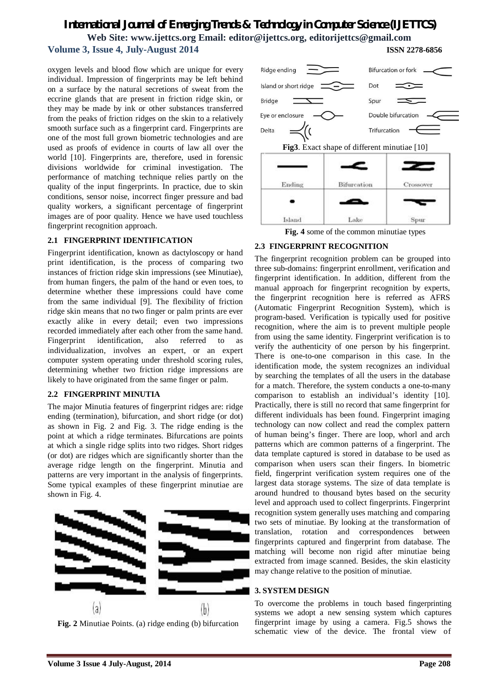oxygen levels and blood flow which are unique for every individual. Impression of fingerprints may be left behind on a surface by the natural secretions of sweat from the eccrine glands that are present in friction ridge skin, or they may be made by ink or other substances transferred from the peaks of friction ridges on the skin to a relatively smooth surface such as a fingerprint card. Fingerprints are one of the most full grown biometric technologies and are used as proofs of evidence in courts of law all over the world [10]. Fingerprints are, therefore, used in forensic divisions worldwide for criminal investigation. The performance of matching technique relies partly on the quality of the input fingerprints. In practice, due to skin conditions, sensor noise, incorrect finger pressure and bad quality workers, a significant percentage of fingerprint images are of poor quality. Hence we have used touchless fingerprint recognition approach.

#### **2.1 FINGERPRINT IDENTIFICATION**

Fingerprint identification, known as dactyloscopy or hand print identification, is the process of comparing two instances of friction ridge skin impressions (see Minutiae), from human fingers, the palm of the hand or even toes, to determine whether these impressions could have come from the same individual [9]. The flexibility of friction ridge skin means that no two finger or palm prints are ever exactly alike in every detail; even two impressions recorded immediately after each other from the same hand. Fingerprint identification, also referred to as individualization, involves an expert, or an expert computer system operating under threshold scoring rules, determining whether two friction ridge impressions are likely to have originated from the same finger or palm.

#### **2.2 FINGERPRINT MINUTIA**

The major Minutia features of fingerprint ridges are: ridge ending (termination), bifurcation, and short ridge (or dot) as shown in Fig. 2 and Fig. 3. The ridge ending is the point at which a ridge terminates. Bifurcations are points at which a single ridge splits into two ridges. Short ridges (or dot) are ridges which are significantly shorter than the average ridge length on the fingerprint. Minutia and patterns are very important in the analysis of fingerprints. Some typical examples of these fingerprint minutiae are shown in Fig. 4.







**Fig. 4** some of the common minutiae types

#### **2.3 FINGERPRINT RECOGNITION**

The fingerprint recognition problem can be grouped into three sub-domains: fingerprint enrollment, verification and fingerprint identification. In addition, different from the manual approach for fingerprint recognition by experts, the fingerprint recognition here is referred as AFRS (Automatic Fingerprint Recognition System), which is program-based. Verification is typically used for positive recognition, where the aim is to prevent multiple people from using the same identity. Fingerprint verification is to verify the authenticity of one person by his fingerprint. There is one-to-one comparison in this case. In the identification mode, the system recognizes an individual by searching the templates of all the users in the database for a match. Therefore, the system conducts a one-to-many comparison to establish an individual's identity [10]. Practically, there is still no record that same fingerprint for different individuals has been found. Fingerprint imaging technology can now collect and read the complex pattern of human being's finger. There are loop, whorl and arch patterns which are common patterns of a fingerprint. The data template captured is stored in database to be used as comparison when users scan their fingers. In biometric field, fingerprint verification system requires one of the largest data storage systems. The size of data template is around hundred to thousand bytes based on the security level and approach used to collect fingerprints. Fingerprint recognition system generally uses matching and comparing two sets of minutiae. By looking at the transformation of translation, rotation and correspondences between fingerprints captured and fingerprint from database. The matching will become non rigid after minutiae being extracted from image scanned. Besides, the skin elasticity may change relative to the position of minutiae.

#### **3. SYSTEM DESIGN**

To overcome the problems in touch based fingerprinting systems we adopt a new sensing system which captures fingerprint image by using a camera. Fig.5 shows the schematic view of the device. The frontal view of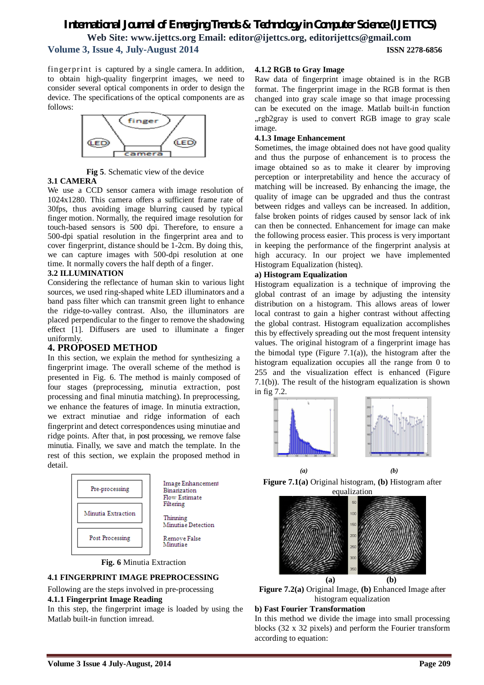fingerprint is captured by a single camera. In addition, to obtain high-quality fingerprint images, we need to consider several optical components in order to design the device. The specifications of the optical components are as follows:



**Fig 5**. Schematic view of the device

#### **3.1 CAMERA**

We use a CCD sensor camera with image resolution of 1024x1280. This camera offers a sufficient frame rate of 30fps, thus avoiding image blurring caused by typical finger motion. Normally, the required image resolution for touch-based sensors is 500 dpi. Therefore, to ensure a 500-dpi spatial resolution in the fingerprint area and to cover fingerprint, distance should be 1-2cm. By doing this, we can capture images with 500-dpi resolution at one time. It normally covers the half depth of a finger.

#### **3.2 ILLUMINATION**

Considering the reflectance of human skin to various light sources, we used ring-shaped white LED illuminators and a band pass filter which can transmit green light to enhance the ridge-to-valley contrast. Also, the illuminators are placed perpendicular to the finger to remove the shadowing effect [1]. Diffusers are used to illuminate a finger uniformly.

### **4. PROPOSED METHOD**

In this section, we explain the method for synthesizing a fingerprint image. The overall scheme of the method is presented in Fig. 6. The method is mainly composed of four stages (preprocessing, minutia extraction, post processing and final minutia matching). In preprocessing, we enhance the features of image. In minutia extraction, we extract minutiae and ridge information of each fingerprint and detect correspondences using minutiae and ridge points. After that, in post processing, we remove false minutia. Finally, we save and match the template. In the rest of this section, we explain the proposed method in detail.





#### **4.1 FINGERPRINT IMAGE PREPROCESSING**

Following are the steps involved in pre-processing **4.1.1 Fingerprint Image Reading**

In this step, the fingerprint image is loaded by using the Matlab built-in function imread.

#### **4.1.2 RGB to Gray Image**

Raw data of fingerprint image obtained is in the RGB format. The fingerprint image in the RGB format is then changed into gray scale image so that image processing can be executed on the image. Matlab built-in function "rgb2gray is used to convert RGB image to gray scale image.

#### **4.1.3 Image Enhancement**

Sometimes, the image obtained does not have good quality and thus the purpose of enhancement is to process the image obtained so as to make it clearer by improving perception or interpretability and hence the accuracy of matching will be increased. By enhancing the image, the quality of image can be upgraded and thus the contrast between ridges and valleys can be increased. In addition, false broken points of ridges caused by sensor lack of ink can then be connected. Enhancement for image can make the following process easier. This process is very important in keeping the performance of the fingerprint analysis at high accuracy. In our project we have implemented Histogram Equalization (histeq).

#### **a) Histogram Equalization**

Histogram equalization is a technique of improving the global contrast of an image by adjusting the intensity distribution on a histogram. This allows areas of lower local contrast to gain a higher contrast without affecting the global contrast. Histogram equalization accomplishes this by effectively spreading out the most frequent intensity values. The original histogram of a fingerprint image has the bimodal type (Figure 7.1(a)), the histogram after the histogram equalization occupies all the range from 0 to 255 and the visualization effect is enhanced (Figure 7.1(b)). The result of the histogram equalization is shown in fig 7.2.



 *(a) (b)* **Figure 7.1(a)** Original histogram, **(b)** Histogram after





#### **b) Fast Fourier Transformation**

In this method we divide the image into small processing blocks (32 x 32 pixels) and perform the Fourier transform according to equation: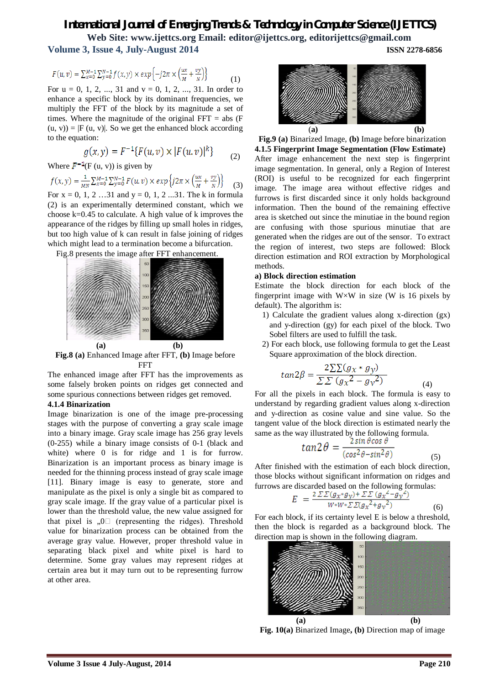$$
F(u,v) = \sum_{x=0}^{M-1} \sum_{y=0}^{N-1} f(x,y) \times exp\left\{-j2\pi \times \left(\frac{ux}{M} + \frac{vy}{N}\right)\right\} \tag{1}
$$

For  $u = 0, 1, 2, ..., 31$  and  $v = 0, 1, 2, ..., 31$ . In order to enhance a specific block by its dominant frequencies, we multiply the FFT of the block by its magnitude a set of times. Where the magnitude of the original  $FFT = abs(F)$  $(u, v)$  =  $|F(u, v)|$ . So we get the enhanced block according to the equation:

$$
g(x, y) = F^{-1}\{F(u, v) \times |F(u, v)|^k\}
$$
 (2)

Where  $F^{-1}(F(u, v))$  is given by<br>  $f(x, y) = \frac{1}{MN} \sum_{x=0}^{M-1} \sum_{y=0}^{N-1} F(u, v) \times exp \{ j2\pi \times \left( \frac{ux}{M} + \frac{vy}{N} \right) \}$  (3) For  $x = 0, 1, 2, \ldots$  31 and  $y = 0, 1, 2, \ldots$  31. The k in formula

(2) is an experimentally determined constant, which we choose  $k=0.45$  to calculate. A high value of k improves the appearance of the ridges by filling up small holes in ridges, but too high value of k can result in false joining of ridges which might lead to a termination become a bifurcation.





**Fig.8 (a)** Enhanced Image after FFT, **(b)** Image before FFT

The enhanced image after FFT has the improvements as some falsely broken points on ridges get connected and some spurious connections between ridges get removed.

#### **4.1.4 Binarization**

Image binarization is one of the image pre-processing stages with the purpose of converting a gray scale image into a binary image. Gray scale image has 256 gray levels (0-255) while a binary image consists of 0-1 (black and white) where 0 is for ridge and 1 is for furrow. Binarization is an important process as binary image is needed for the thinning process instead of gray scale image [11]. Binary image is easy to generate, store and manipulate as the pixel is only a single bit as compared to gray scale image. If the gray value of a particular pixel is lower than the threshold value, the new value assigned for that pixel is  $, 0 \square$  (representing the ridges). Threshold value for binarization process can be obtained from the average gray value. However, proper threshold value in separating black pixel and white pixel is hard to determine. Some gray values may represent ridges at certain area but it may turn out to be representing furrow at other area.



**Fig.9 (a)** Binarized Image, **(b)** Image before binarization **4.1.5 Fingerprint Image Segmentation (Flow Estimate)** After image enhancement the next step is fingerprint image segmentation. In general, only a Region of Interest (ROI) is useful to be recognized for each fingerprint image. The image area without effective ridges and furrows is first discarded since it only holds background information. Then the bound of the remaining effective area is sketched out since the minutiae in the bound region are confusing with those spurious minutiae that are generated when the ridges are out of the sensor. To extract the region of interest, two steps are followed: Block direction estimation and ROI extraction by Morphological methods.

#### **a) Block direction estimation**

Estimate the block direction for each block of the fingerprint image with  $W \times W$  in size (W is 16 pixels by default). The algorithm is:

- 1) Calculate the gradient values along x-direction (gx) and y-direction (gy) for each pixel of the block. Two Sobel filters are used to fulfill the task.
- 2) For each block, use following formula to get the Least Square approximation of the block direction.

$$
tan 2\beta = \frac{2\sum\sum(g_x * g_y)}{\sum\sum(g_x^2 - g_y^2)}
$$
\n(4)

For all the pixels in each block. The formula is easy to understand by regarding gradient values along x-direction and y-direction as cosine value and sine value. So the tangent value of the block direction is estimated nearly the same as the way illustrated by the following formula.

$$
tan 2\theta = \frac{2\sin\theta\cos\theta}{(\cos^2\theta - \sin^2\theta)}\tag{5}
$$

After finished with the estimation of each block direction, those blocks without significant information on ridges and furrows are discarded based on the following formulas:

$$
E = \frac{2 \Sigma \Sigma (g_x * g_y) + \Sigma \Sigma (g_x^2 - g_y^2)}{W * W * \Sigma \Sigma (g_x^2 + g_y^2)}
$$
(6)

For each block, if its certainty level E is below a threshold, then the block is regarded as a background block. The direction map is shown in the following diagram.



**Fig. 10(a)** Binarized Image**, (b)** Direction map of image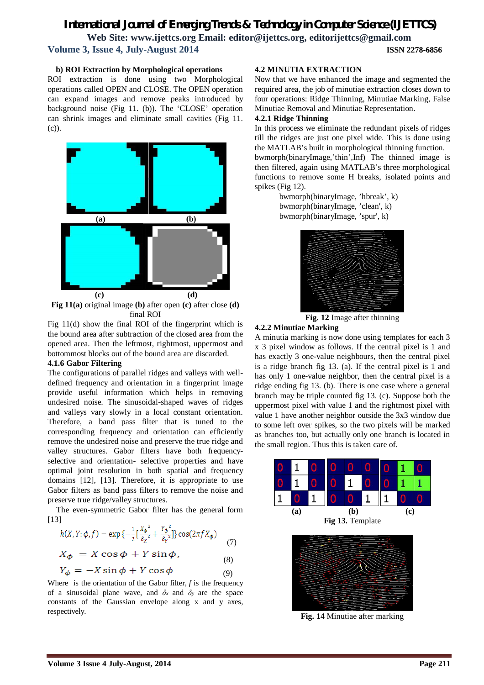#### **b) ROI Extraction by Morphological operations**

ROI extraction is done using two Morphological operations called OPEN and CLOSE. The OPEN operation can expand images and remove peaks introduced by background noise (Fig 11. (b)). The 'CLOSE' operation can shrink images and eliminate small cavities (Fig 11. (c)).



**Fig 11(a)** original image **(b)** after open **(c)** after close **(d)**  final ROI

Fig 11(d) show the final ROI of the fingerprint which is the bound area after subtraction of the closed area from the opened area. Then the leftmost, rightmost, uppermost and bottommost blocks out of the bound area are discarded.

#### **4.1.6 Gabor Filtering**

The configurations of parallel ridges and valleys with welldefined frequency and orientation in a fingerprint image provide useful information which helps in removing undesired noise. The sinusoidal-shaped waves of ridges and valleys vary slowly in a local constant orientation. Therefore, a band pass filter that is tuned to the corresponding frequency and orientation can efficiently remove the undesired noise and preserve the true ridge and valley structures. Gabor filters have both frequencyselective and orientation- selective properties and have optimal joint resolution in both spatial and frequency domains [12], [13]. Therefore, it is appropriate to use Gabor filters as band pass filters to remove the noise and preserve true ridge/valley structures.

 The even-symmetric Gabor filter has the general form [13]

$$
h(X, Y; \phi, f) = \exp\left\{-\frac{1}{2}\left[\frac{X_{\phi}^{2}}{\delta_{X}^{2}} + \frac{Y_{\phi}^{2}}{\delta_{Y}^{2}}\right]\right\} \cos(2\pi f X_{\phi})
$$
\n
$$
X_{\phi} = X \cos \phi + Y \sin \phi, \tag{7}
$$

$$
Y_{\phi} = -X \sin \phi + Y \cos \phi \tag{8}
$$

Where is the orientation of the Gabor filter,  $f$  is the frequency of a sinusoidal plane wave, and  $\delta_x$  and  $\delta_y$  are the space constants of the Gaussian envelope along x and y axes, respectively.

#### **4.2 MINUTIA EXTRACTION**

Now that we have enhanced the image and segmented the required area, the job of minutiae extraction closes down to four operations: Ridge Thinning, Minutiae Marking, False Minutiae Removal and Minutiae Representation.

#### **4.2.1 Ridge Thinning**

In this process we eliminate the redundant pixels of ridges till the ridges are just one pixel wide. This is done using the MATLAB's built in morphological thinning function. bwmorph(binaryImage,'thin',Inf) The thinned image is then filtered, again using MATLAB's three morphological functions to remove some H breaks, isolated points and spikes (Fig 12).

bwmorph(binaryImage, 'hbreak', k) bwmorph(binaryImage, 'clean', k) bwmorph(binaryImage, 'spur', k)



**Fig. 12** Image after thinning

#### **4.2.2 Minutiae Marking**

A minutia marking is now done using templates for each 3 x 3 pixel window as follows. If the central pixel is 1 and has exactly 3 one-value neighbours, then the central pixel is a ridge branch fig 13. (a). If the central pixel is 1 and has only 1 one-value neighbor, then the central pixel is a ridge ending fig 13. (b). There is one case where a general branch may be triple counted fig 13. (c). Suppose both the uppermost pixel with value 1 and the rightmost pixel with value 1 have another neighbor outside the 3x3 window due to some left over spikes, so the two pixels will be marked as branches too, but actually only one branch is located in the small region. Thus this is taken care of.





**Fig. 14** Minutiae after marking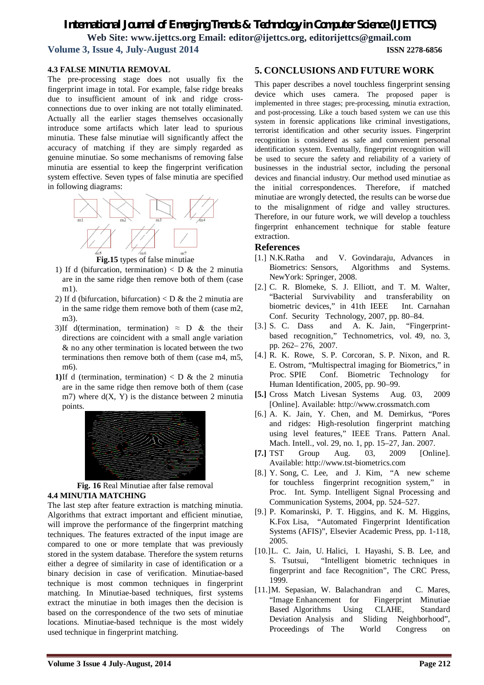#### **4.3 FALSE MINUTIA REMOVAL**

The pre-processing stage does not usually fix the fingerprint image in total. For example, false ridge breaks due to insufficient amount of ink and ridge crossconnections due to over inking are not totally eliminated. Actually all the earlier stages themselves occasionally introduce some artifacts which later lead to spurious minutia. These false minutiae will significantly affect the accuracy of matching if they are simply regarded as genuine minutiae. So some mechanisms of removing false minutia are essential to keep the fingerprint verification system effective. Seven types of false minutia are specified in following diagrams:



**Fig.15** types of false minutiae

- 1) If d (bifurcation, termination)  $\langle D \&$  the 2 minutia are in the same ridge then remove both of them (case m1).
- 2) If d (bifurcation, bifurcation)  $\langle D \&$  the 2 minutia are in the same ridge them remove both of them (case m2, m3).
- 3)If d(termination, termination)  $\approx$  D & the their directions are coincident with a small angle variation & no any other termination is located between the two terminations then remove both of them (case m4, m5, m6).
- **1)**If d (termination, termination)  $\langle D \times D \times D \rangle$  the 2 minutia are in the same ridge then remove both of them (case m7) where  $d(X, Y)$  is the distance between 2 minutia points.



**Fig. 16** Real Minutiae after false removal **4.4 MINUTIA MATCHING**

The last step after feature extraction is matching minutia. Algorithms that extract important and efficient minutiae, will improve the performance of the fingerprint matching techniques. The features extracted of the input image are compared to one or more template that was previously stored in the system database. Therefore the system returns either a degree of similarity in case of identification or a binary decision in case of verification. Minutiae-based technique is most common techniques in fingerprint matching. In Minutiae-based techniques, first systems extract the minutiae in both images then the decision is based on the correspondence of the two sets of minutiae locations. Minutiae-based technique is the most widely used technique in fingerprint matching.

## **5. CONCLUSIONS AND FUTURE WORK**

This paper describes a novel touchless fingerprint sensing device which uses camera. The proposed paper is implemented in three stages; pre-processing, minutia extraction, and post-processing. Like a touch based system we can use this system in forensic applications like criminal investigations, terrorist identification and other security issues. Fingerprint recognition is considered as safe and convenient personal identification system. Eventually, fingerprint recognition will be used to secure the safety and reliability of a variety of businesses in the industrial sector, including the personal devices and financial industry. Our method used minutiae as the initial correspondences. Therefore, if matched minutiae are wrongly detected, the results can be worse due to the misalignment of ridge and valley structures. Therefore, in our future work, we will develop a touchless fingerprint enhancement technique for stable feature extraction.

#### **References**

- [1.] N.K.Ratha and V. Govindaraju, Advances in Biometrics: Sensors, Algorithms and Systems. NewYork: Springer, 2008.
- [2.] C. R. Blomeke, S. J. Elliott, and T. M. Walter, "Bacterial Survivability and transferability on biometric devices," in 41th IEEE Int. Carnahan Conf. Security Technology, 2007, pp. 80–84.
- [3.] S. C. Dass and A. K. Jain, "Fingerprintbased recognition," Technometrics, vol. 49, no. 3, pp. 262– 276, 2007.
- [4.] R. K. Rowe, S. P. Corcoran, S. P. Nixon, and R. E. Ostrom, "Multispectral imaging for Biometrics," in Proc. SPIE Conf. Biometric Technology for Human Identification, 2005, pp. 90–99.
- **[5.]** Cross Match Livesan Systems Aug. 03, 2009 [Online]. Available: http://www.crossmatch.com
- [6.] A. K. Jain, Y. Chen, and M. Demirkus, "Pores and ridges: High-resolution fingerprint matching using level features," IEEE Trans. Pattern Anal. Mach. Intell., vol. 29, no. 1, pp. 15–27, Jan. 2007.
- **[7.]** TST Group Aug. 03, 2009 [Online]. Available: http://www.tst-biometrics.com
- [8.] Y. Song, C. Lee, and J. Kim, "A new scheme for touchless fingerprint recognition system," in Proc. Int. Symp. Intelligent Signal Processing and Communication Systems, 2004, pp. 524–527.
- [9.] P. Komarinski, P. T. Higgins, and K. M. Higgins, K.Fox Lisa, "Automated Fingerprint Identification Systems (AFIS)", Elsevier Academic Press, pp. 1-118, 2005.
- [10.]L. C. Jain, U. Halici, I. Hayashi, S. B. Lee, and S. Tsutsui, "Intelligent biometric techniques in fingerprint and face Recognition", The CRC Press, 1999.
- [11.]M. Sepasian, W. Balachandran and C. Mares, "Image Enhancement for Fingerprint Minutiae Based Algorithms Using CLAHE, Standard Deviation Analysis and Sliding Neighborhood", Proceedings of The World Congress on